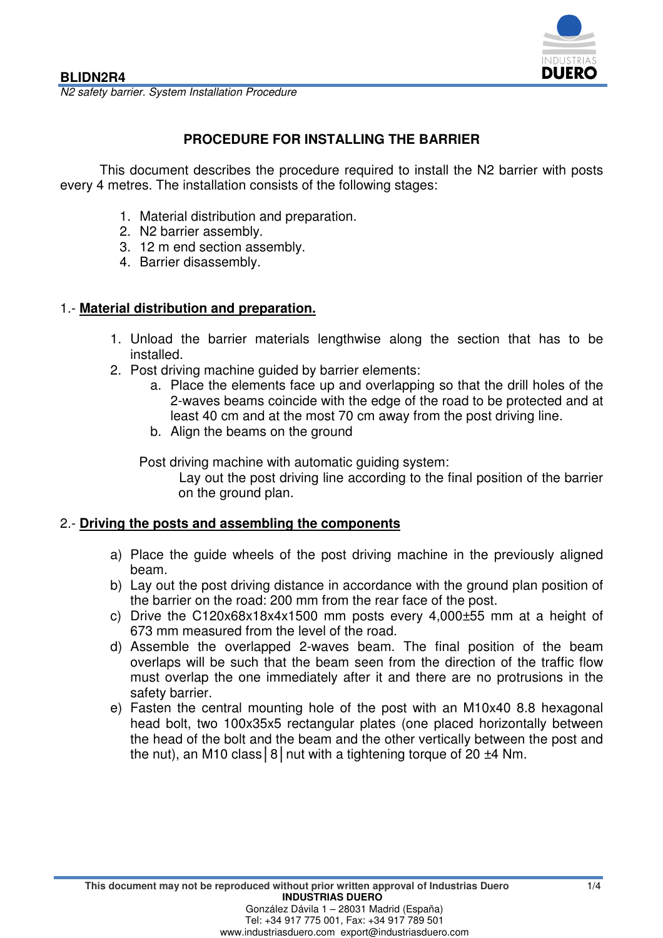

N2 safety barrier. System Installation Procedure

# **PROCEDURE FOR INSTALLING THE BARRIER**

This document describes the procedure required to install the N2 barrier with posts every 4 metres. The installation consists of the following stages:

- 1. Material distribution and preparation.
- 2. N2 barrier assembly.
- 3. 12 m end section assembly.
- 4. Barrier disassembly.

## 1.- **Material distribution and preparation.**

- 1. Unload the barrier materials lengthwise along the section that has to be installed.
- 2. Post driving machine guided by barrier elements:
	- a. Place the elements face up and overlapping so that the drill holes of the 2-waves beams coincide with the edge of the road to be protected and at least 40 cm and at the most 70 cm away from the post driving line.
	- b. Align the beams on the ground

Post driving machine with automatic guiding system:

Lay out the post driving line according to the final position of the barrier on the ground plan.

#### 2.- **Driving the posts and assembling the components**

- a) Place the guide wheels of the post driving machine in the previously aligned beam.
- b) Lay out the post driving distance in accordance with the ground plan position of the barrier on the road: 200 mm from the rear face of the post.
- c) Drive the C120x68x18x4x1500 mm posts every 4,000±55 mm at a height of 673 mm measured from the level of the road.
- d) Assemble the overlapped 2-waves beam. The final position of the beam overlaps will be such that the beam seen from the direction of the traffic flow must overlap the one immediately after it and there are no protrusions in the safety barrier.
- e) Fasten the central mounting hole of the post with an M10x40 8.8 hexagonal head bolt, two 100x35x5 rectangular plates (one placed horizontally between the head of the bolt and the beam and the other vertically between the post and the nut), an M10 class  $|8|$  nut with a tightening torque of 20  $\pm 4$  Nm.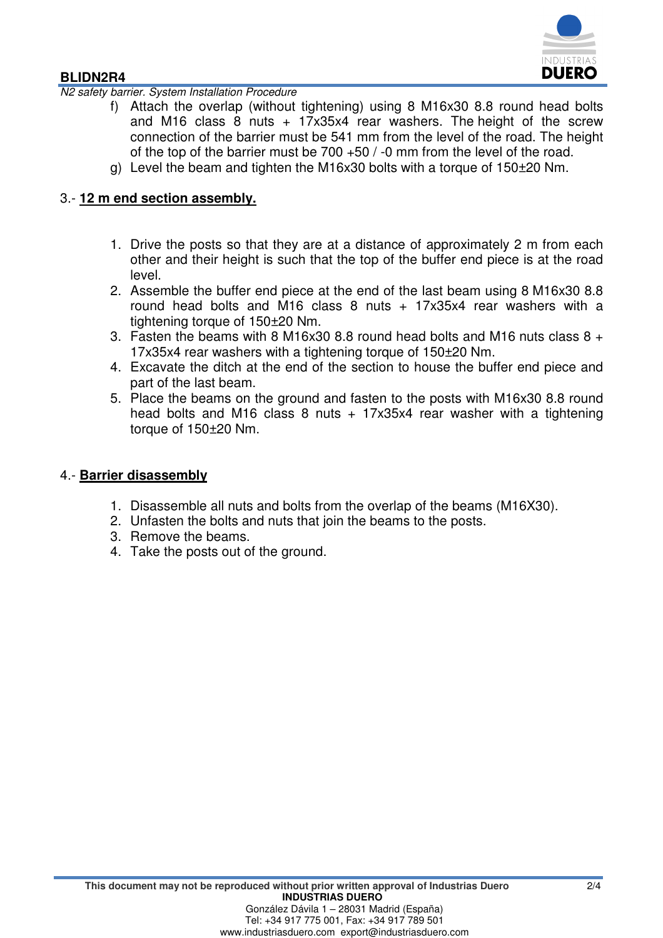

#### **BLIDN2R4**

N2 safety barrier. System Installation Procedure

- f) Attach the overlap (without tightening) using 8 M16x30 8.8 round head bolts and M16 class 8 nuts  $+$  17x35x4 rear washers. The height of the screw connection of the barrier must be 541 mm from the level of the road. The height of the top of the barrier must be 700 +50 / -0 mm from the level of the road.
- g) Level the beam and tighten the M16x30 bolts with a torque of 150±20 Nm.

### 3.- **12 m end section assembly.**

- 1. Drive the posts so that they are at a distance of approximately 2 m from each other and their height is such that the top of the buffer end piece is at the road level.
- 2. Assemble the buffer end piece at the end of the last beam using 8 M16x30 8.8 round head bolts and M16 class 8 nuts + 17x35x4 rear washers with a tightening torque of 150±20 Nm.
- 3. Fasten the beams with 8 M16x30 8.8 round head bolts and M16 nuts class  $8 +$ 17x35x4 rear washers with a tightening torque of 150±20 Nm.
- 4. Excavate the ditch at the end of the section to house the buffer end piece and part of the last beam.
- 5. Place the beams on the ground and fasten to the posts with M16x30 8.8 round head bolts and M16 class 8 nuts  $+$  17x35x4 rear washer with a tightening torque of 150±20 Nm.

#### 4.- **Barrier disassembly**

- 1. Disassemble all nuts and bolts from the overlap of the beams (M16X30).
- 2. Unfasten the bolts and nuts that join the beams to the posts.
- 3. Remove the beams.
- 4. Take the posts out of the ground.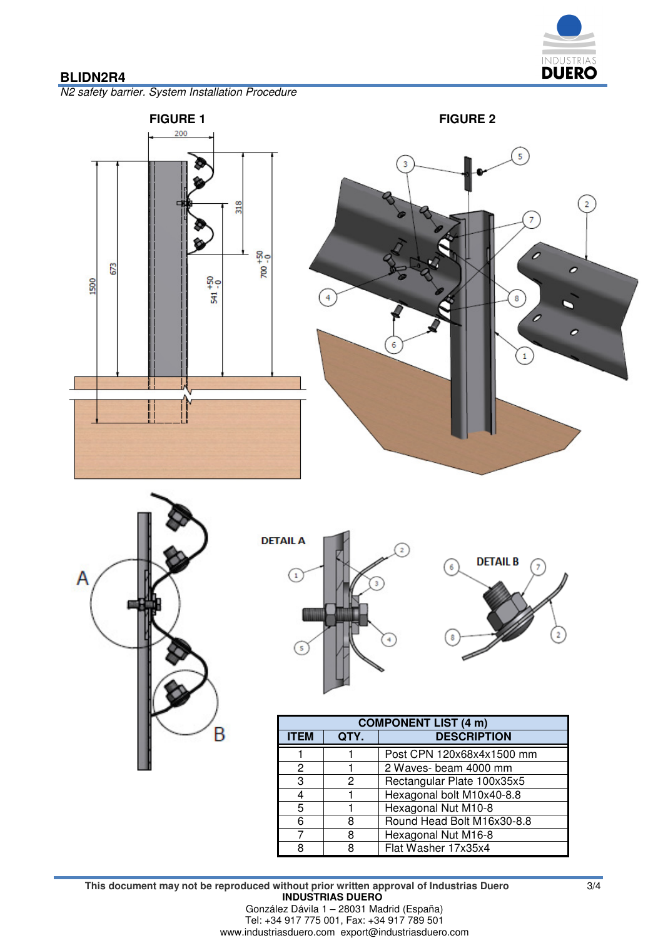

## **BLIDN2R4**

N2 safety barrier. System Installation Procedure









| <b>COMPONENT LIST (4 m)</b> |      |                            |
|-----------------------------|------|----------------------------|
| <b>ITEM</b>                 | QTY. | <b>DESCRIPTION</b>         |
|                             |      | Post CPN 120x68x4x1500 mm  |
| 2                           |      | 2 Waves- beam 4000 mm      |
| 3                           | 2    | Rectangular Plate 100x35x5 |
|                             |      | Hexagonal bolt M10x40-8.8  |
| 5                           |      | Hexagonal Nut M10-8        |
| 6                           | 8    | Round Head Bolt M16x30-8.8 |
|                             | 8    | Hexagonal Nut M16-8        |
| я                           | 8    | Flat Washer 17x35x4        |

**This document may not be reproduced without prior written approval of Industrias Duero** 3/4 **INDUSTRIAS DUERO**  González Dávila 1 – 28031 Madrid (España) Tel: +34 917 775 001, Fax: +34 917 789 501 www.industriasduero.com export@industriasduero.com